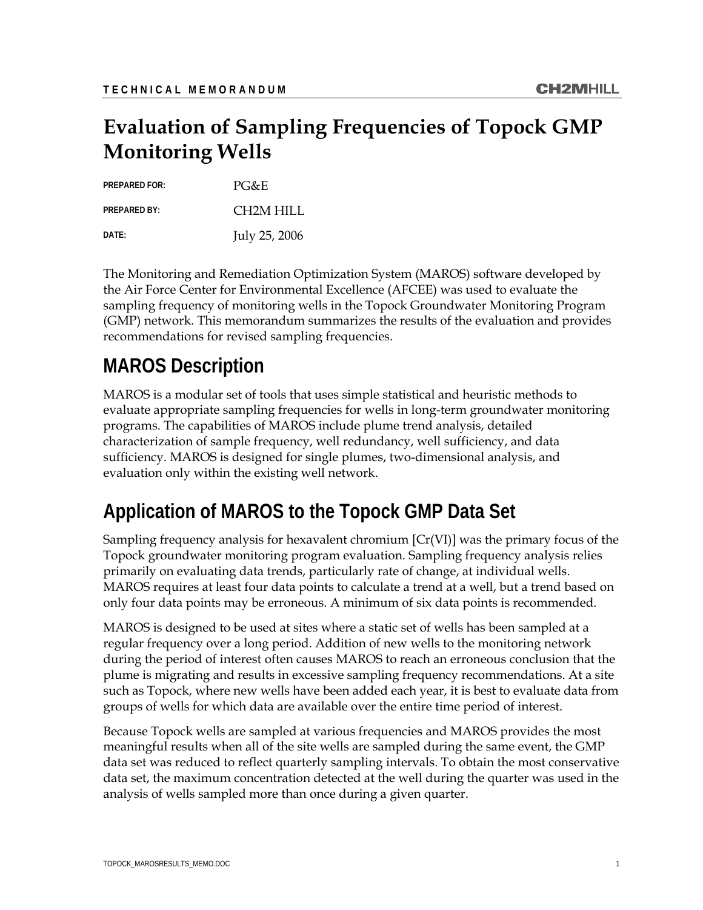## **Evaluation of Sampling Frequencies of Topock GMP Monitoring Wells**

| <b>PREPARED FOR:</b> | $PG\&E$       |
|----------------------|---------------|
| <b>PREPARED BY:</b>  | CH2M HILL     |
| DATF:                | July 25, 2006 |

The Monitoring and Remediation Optimization System (MAROS) software developed by the Air Force Center for Environmental Excellence (AFCEE) was used to evaluate the sampling frequency of monitoring wells in the Topock Groundwater Monitoring Program (GMP) network. This memorandum summarizes the results of the evaluation and provides recommendations for revised sampling frequencies.

## **MAROS Description**

MAROS is a modular set of tools that uses simple statistical and heuristic methods to evaluate appropriate sampling frequencies for wells in long-term groundwater monitoring programs. The capabilities of MAROS include plume trend analysis, detailed characterization of sample frequency, well redundancy, well sufficiency, and data sufficiency. MAROS is designed for single plumes, two-dimensional analysis, and evaluation only within the existing well network.

## **Application of MAROS to the Topock GMP Data Set**

Sampling frequency analysis for hexavalent chromium [Cr(VI)] was the primary focus of the Topock groundwater monitoring program evaluation. Sampling frequency analysis relies primarily on evaluating data trends, particularly rate of change, at individual wells. MAROS requires at least four data points to calculate a trend at a well, but a trend based on only four data points may be erroneous. A minimum of six data points is recommended.

MAROS is designed to be used at sites where a static set of wells has been sampled at a regular frequency over a long period. Addition of new wells to the monitoring network during the period of interest often causes MAROS to reach an erroneous conclusion that the plume is migrating and results in excessive sampling frequency recommendations. At a site such as Topock, where new wells have been added each year, it is best to evaluate data from groups of wells for which data are available over the entire time period of interest.

Because Topock wells are sampled at various frequencies and MAROS provides the most meaningful results when all of the site wells are sampled during the same event, the GMP data set was reduced to reflect quarterly sampling intervals. To obtain the most conservative data set, the maximum concentration detected at the well during the quarter was used in the analysis of wells sampled more than once during a given quarter.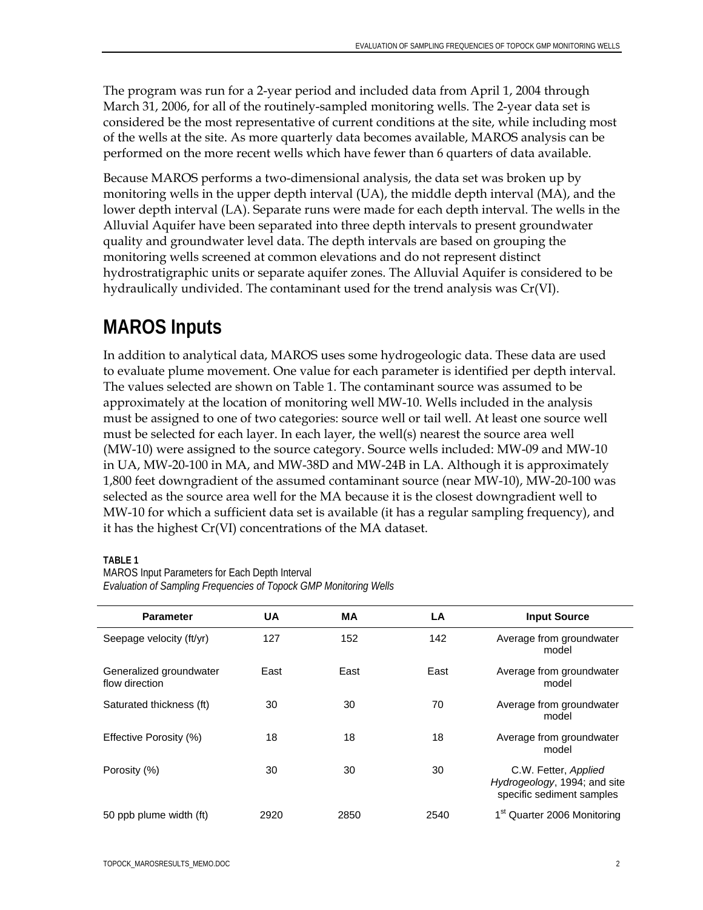The program was run for a 2-year period and included data from April 1, 2004 through March 31, 2006, for all of the routinely-sampled monitoring wells. The 2-year data set is considered be the most representative of current conditions at the site, while including most of the wells at the site. As more quarterly data becomes available, MAROS analysis can be performed on the more recent wells which have fewer than 6 quarters of data available.

Because MAROS performs a two-dimensional analysis, the data set was broken up by monitoring wells in the upper depth interval (UA), the middle depth interval (MA), and the lower depth interval (LA). Separate runs were made for each depth interval. The wells in the Alluvial Aquifer have been separated into three depth intervals to present groundwater quality and groundwater level data. The depth intervals are based on grouping the monitoring wells screened at common elevations and do not represent distinct hydrostratigraphic units or separate aquifer zones. The Alluvial Aquifer is considered to be hydraulically undivided. The contaminant used for the trend analysis was Cr(VI).

## **MAROS Inputs**

In addition to analytical data, MAROS uses some hydrogeologic data. These data are used to evaluate plume movement. One value for each parameter is identified per depth interval. The values selected are shown on Table 1. The contaminant source was assumed to be approximately at the location of monitoring well MW-10. Wells included in the analysis must be assigned to one of two categories: source well or tail well. At least one source well must be selected for each layer. In each layer, the well(s) nearest the source area well (MW-10) were assigned to the source category. Source wells included: MW-09 and MW-10 in UA, MW-20-100 in MA, and MW-38D and MW-24B in LA. Although it is approximately 1,800 feet downgradient of the assumed contaminant source (near MW-10), MW-20-100 was selected as the source area well for the MA because it is the closest downgradient well to MW-10 for which a sufficient data set is available (it has a regular sampling frequency), and it has the highest Cr(VI) concentrations of the MA dataset.

### **TABLE 1**

MAROS Input Parameters for Each Depth Interval *Evaluation of Sampling Frequencies of Topock GMP Monitoring Wells* 

| <b>Parameter</b>                          | <b>UA</b> | МA   | LA   | <b>Input Source</b>                                                               |
|-------------------------------------------|-----------|------|------|-----------------------------------------------------------------------------------|
| Seepage velocity (ft/yr)                  | 127       | 152  | 142  | Average from groundwater<br>model                                                 |
| Generalized groundwater<br>flow direction | East      | East | East | Average from groundwater<br>model                                                 |
| Saturated thickness (ft)                  | 30        | 30   | 70   | Average from groundwater<br>model                                                 |
| Effective Porosity (%)                    | 18        | 18   | 18   | Average from groundwater<br>model                                                 |
| Porosity (%)                              | 30        | 30   | 30   | C.W. Fetter, Applied<br>Hydrogeology, 1994; and site<br>specific sediment samples |
| 50 ppb plume width (ft)                   | 2920      | 2850 | 2540 | 1 <sup>st</sup> Quarter 2006 Monitoring                                           |

TOPOCK\_MAROSRESULTS\_MEMO.DOC 2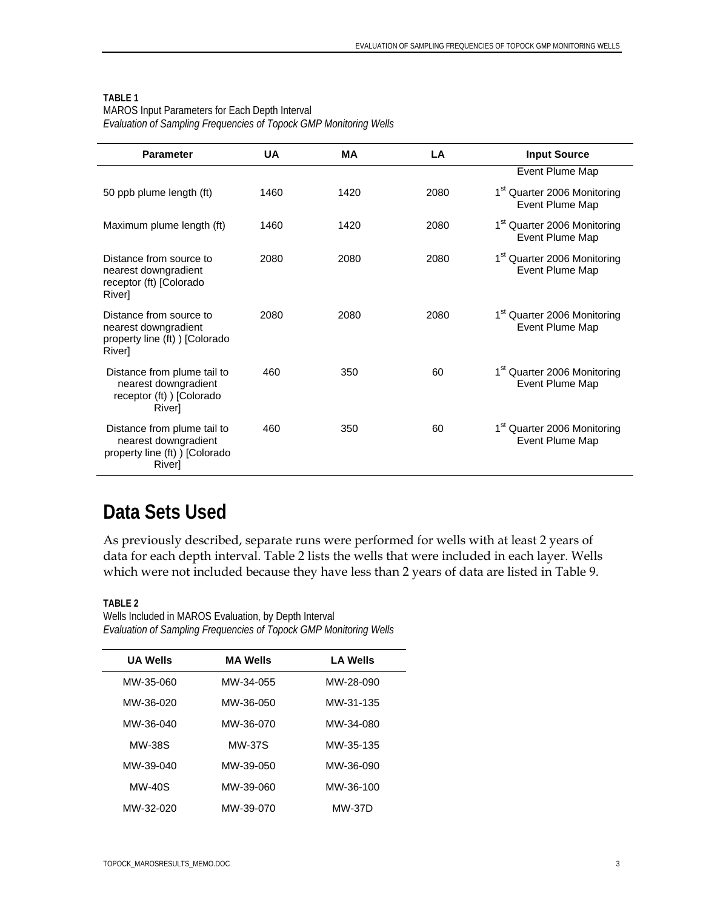MAROS Input Parameters for Each Depth Interval *Evaluation of Sampling Frequencies of Topock GMP Monitoring Wells* 

| <b>Parameter</b>                                                                                | UA   | MА   | LA   | <b>Input Source</b>                                        |
|-------------------------------------------------------------------------------------------------|------|------|------|------------------------------------------------------------|
|                                                                                                 |      |      |      | Event Plume Map                                            |
| 50 ppb plume length (ft)                                                                        | 1460 | 1420 | 2080 | 1 <sup>st</sup> Quarter 2006 Monitoring<br>Event Plume Map |
| Maximum plume length (ft)                                                                       | 1460 | 1420 | 2080 | 1 <sup>st</sup> Quarter 2006 Monitoring<br>Event Plume Map |
| Distance from source to<br>nearest downgradient<br>receptor (ft) [Colorado<br><b>River</b>      | 2080 | 2080 | 2080 | 1 <sup>st</sup> Quarter 2006 Monitoring<br>Event Plume Map |
| Distance from source to<br>nearest downgradient<br>property line (ft)) [Colorado<br>River]      | 2080 | 2080 | 2080 | 1 <sup>st</sup> Quarter 2006 Monitoring<br>Event Plume Map |
| Distance from plume tail to<br>nearest downgradient<br>receptor (ft) ) [Colorado<br>River]      | 460  | 350  | 60   | 1 <sup>st</sup> Quarter 2006 Monitoring<br>Event Plume Map |
| Distance from plume tail to<br>nearest downgradient<br>property line (ft) ) [Colorado<br>River] | 460  | 350  | 60   | 1 <sup>st</sup> Quarter 2006 Monitoring<br>Event Plume Map |

### **Data Sets Used**

As previously described, separate runs were performed for wells with at least 2 years of data for each depth interval. Table 2 lists the wells that were included in each layer. Wells which were not included because they have less than 2 years of data are listed in Table 9.

**TABLE 2** 

Ĭ.

| Wells Included in MAROS Evaluation, by Depth Interval             |  |
|-------------------------------------------------------------------|--|
| Evaluation of Sampling Frequencies of Topock GMP Monitoring Wells |  |

| <b>UA Wells</b> | <b>MA Wells</b> | <b>LA Wells</b> |
|-----------------|-----------------|-----------------|
| MW-35-060       | MW-34-055       | MW-28-090       |
| MW-36-020       | MW-36-050       | MW-31-135       |
| MW-36-040       | MW-36-070       | MW-34-080       |
| MW-38S          | <b>MW-37S</b>   | MW-35-135       |
| MW-39-040       | MW-39-050       | MW-36-090       |
| <b>MW-40S</b>   | MW-39-060       | MW-36-100       |
| MW-32-020       | MW-39-070       | <b>MW-37D</b>   |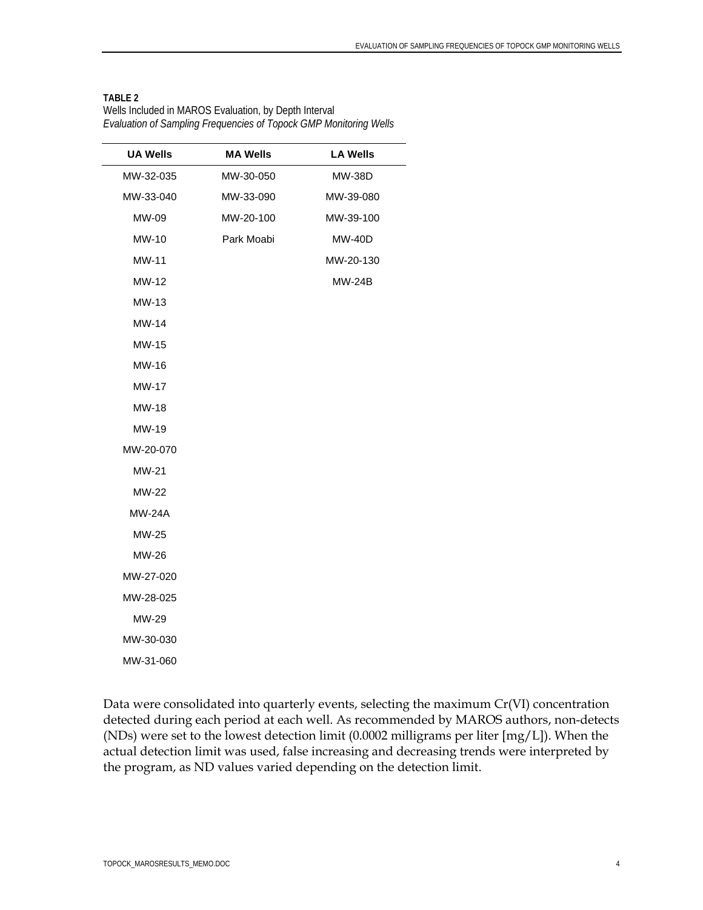Wells Included in MAROS Evaluation, by Depth Interval *Evaluation of Sampling Frequencies of Topock GMP Monitoring Wells* 

| <b>MA Wells</b> | <b>LA Wells</b> |
|-----------------|-----------------|
| MW-30-050       | <b>MW-38D</b>   |
| MW-33-090       | MW-39-080       |
| MW-20-100       | MW-39-100       |
| Park Moabi      | <b>MW-40D</b>   |
|                 | MW-20-130       |
|                 | <b>MW-24B</b>   |
|                 |                 |
|                 |                 |
|                 |                 |
|                 |                 |
|                 |                 |
|                 |                 |
|                 |                 |
|                 |                 |
|                 |                 |
|                 |                 |
|                 |                 |
|                 |                 |
|                 |                 |
|                 |                 |
|                 |                 |
|                 |                 |
|                 |                 |
|                 |                 |
|                 |                 |

Data were consolidated into quarterly events, selecting the maximum Cr(VI) concentration detected during each period at each well. As recommended by MAROS authors, non-detects (NDs) were set to the lowest detection limit (0.0002 milligrams per liter [mg/L]). When the actual detection limit was used, false increasing and decreasing trends were interpreted by the program, as ND values varied depending on the detection limit.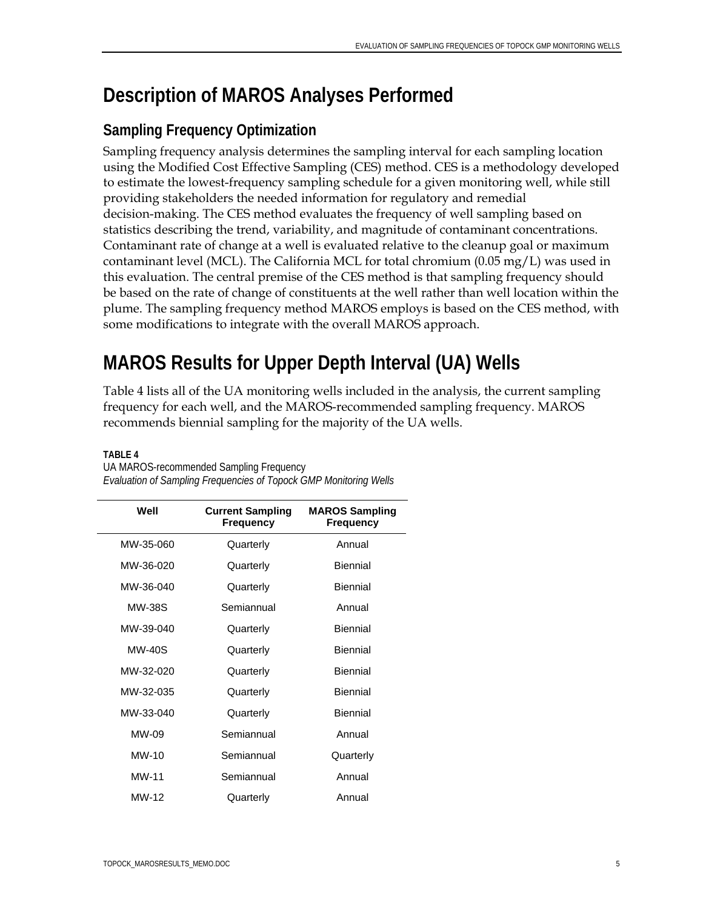## **Description of MAROS Analyses Performed**

### **Sampling Frequency Optimization**

Sampling frequency analysis determines the sampling interval for each sampling location using the Modified Cost Effective Sampling (CES) method. CES is a methodology developed to estimate the lowest-frequency sampling schedule for a given monitoring well, while still providing stakeholders the needed information for regulatory and remedial decision-making. The CES method evaluates the frequency of well sampling based on statistics describing the trend, variability, and magnitude of contaminant concentrations. Contaminant rate of change at a well is evaluated relative to the cleanup goal or maximum contaminant level (MCL). The California MCL for total chromium (0.05 mg/L) was used in this evaluation. The central premise of the CES method is that sampling frequency should be based on the rate of change of constituents at the well rather than well location within the plume. The sampling frequency method MAROS employs is based on the CES method, with some modifications to integrate with the overall MAROS approach.

# **MAROS Results for Upper Depth Interval (UA) Wells**

Table 4 lists all of the UA monitoring wells included in the analysis, the current sampling frequency for each well, and the MAROS-recommended sampling frequency. MAROS recommends biennial sampling for the majority of the UA wells.

| Well          | <b>Current Sampling</b><br><b>Frequency</b> | <b>MAROS Sampling</b><br><b>Frequency</b> |
|---------------|---------------------------------------------|-------------------------------------------|
| MW-35-060     | Quarterly                                   | Annual                                    |
| MW-36-020     | Quarterly                                   | <b>Biennial</b>                           |
| MW-36-040     | Quarterly                                   | Biennial                                  |
| <b>MW-38S</b> | Semiannual                                  | Annual                                    |
| MW-39-040     | Quarterly                                   | Biennial                                  |
| <b>MW-40S</b> | Quarterly                                   | <b>Biennial</b>                           |
| MW-32-020     | Quarterly                                   | Biennial                                  |
| MW-32-035     | Quarterly                                   | <b>Biennial</b>                           |
| MW-33-040     | Quarterly                                   | Biennial                                  |
| $MW-09$       | Semiannual                                  | Annual                                    |
| $MW-10$       | Semiannual                                  | Quarterly                                 |
| MW-11         | Semiannual                                  | Annual                                    |
| MW-12         | Quarterly                                   | Annual                                    |

**TABLE 4**  UA MAROS-recommended Sampling Frequency *Evaluation of Sampling Frequencies of Topock GMP Monitoring Wells*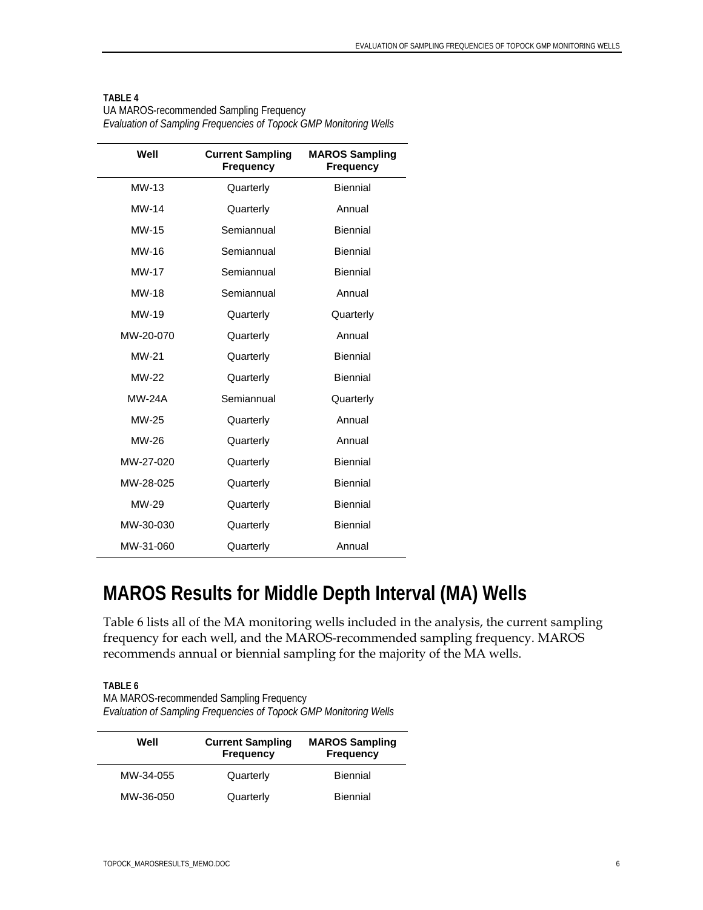| Well          | <b>Current Sampling</b><br><b>Frequency</b> | <b>MAROS Sampling</b><br><b>Frequency</b> |
|---------------|---------------------------------------------|-------------------------------------------|
| $MW-13$       | Quarterly                                   | <b>Biennial</b>                           |
| <b>MW-14</b>  | Quarterly                                   | Annual                                    |
| MW-15         | Semiannual                                  | <b>Biennial</b>                           |
| MW-16         | Semiannual                                  | <b>Biennial</b>                           |
| <b>MW-17</b>  | Semiannual                                  | <b>Biennial</b>                           |
| <b>MW-18</b>  | Semiannual                                  | Annual                                    |
| MW-19         | Quarterly                                   | Quarterly                                 |
| MW-20-070     | Quarterly                                   | Annual                                    |
| MW-21         | Quarterly                                   | <b>Biennial</b>                           |
| <b>MW-22</b>  | Quarterly                                   | <b>Biennial</b>                           |
| <b>MW-24A</b> | Semiannual                                  | Quarterly                                 |
| MW-25         | Quarterly                                   | Annual                                    |
| MW-26         | Quarterly                                   | Annual                                    |
| MW-27-020     | Quarterly                                   | <b>Biennial</b>                           |
| MW-28-025     | Quarterly                                   | <b>Biennial</b>                           |
| MW-29         | Quarterly                                   | <b>Biennial</b>                           |
| MW-30-030     | Quarterly                                   | <b>Biennial</b>                           |
| MW-31-060     | Quarterly                                   | Annual                                    |

UA MAROS-recommended Sampling Frequency *Evaluation of Sampling Frequencies of Topock GMP Monitoring Wells* 

### **MAROS Results for Middle Depth Interval (MA) Wells**

Table 6 lists all of the MA monitoring wells included in the analysis, the current sampling frequency for each well, and the MAROS-recommended sampling frequency. MAROS recommends annual or biennial sampling for the majority of the MA wells.

J.

**TABLE 6**  MA MAROS-recommended Sampling Frequency

*Evaluation of Sampling Frequencies of Topock GMP Monitoring Wells* 

| Well      | <b>Current Sampling</b><br><b>Frequency</b> | <b>MAROS Sampling</b><br><b>Frequency</b> |
|-----------|---------------------------------------------|-------------------------------------------|
| MW-34-055 | Quarterly                                   | <b>Biennial</b>                           |
| MW-36-050 | Quarterly                                   | <b>Biennial</b>                           |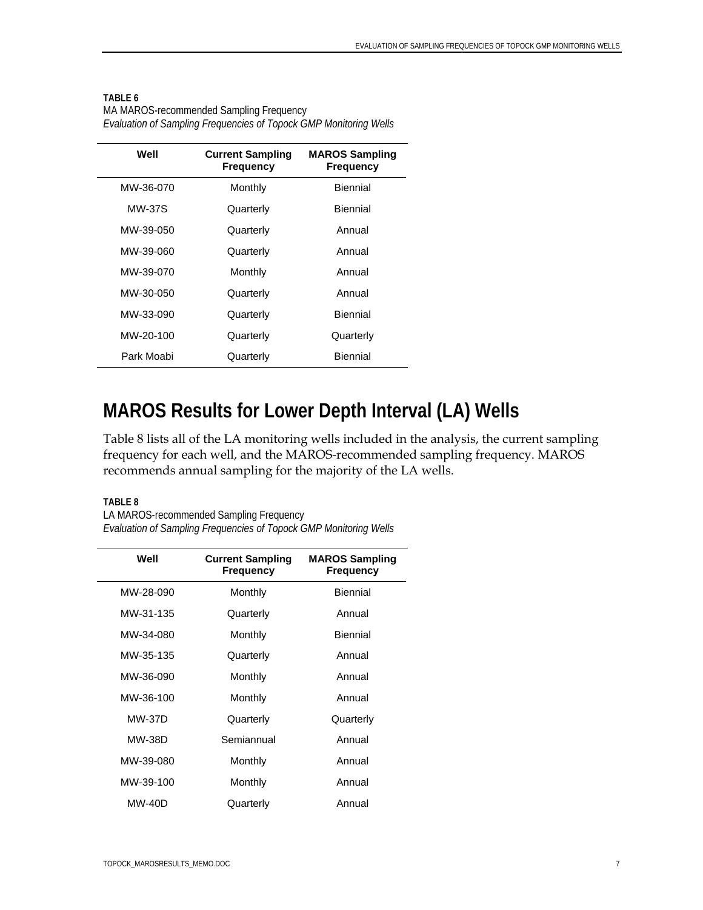MA MAROS-recommended Sampling Frequency *Evaluation of Sampling Frequencies of Topock GMP Monitoring Wells* 

| Well       | <b>Current Sampling</b><br><b>Frequency</b> | <b>MAROS Sampling</b><br>Frequency |
|------------|---------------------------------------------|------------------------------------|
| MW-36-070  | Monthly                                     | Biennial                           |
| MW-37S     | Quarterly                                   | Biennial                           |
| MW-39-050  | Quarterly                                   | Annual                             |
| MW-39-060  | Quarterly                                   | Annual                             |
| MW-39-070  | Monthly                                     | Annual                             |
| MW-30-050  | Quarterly                                   | Annual                             |
| MW-33-090  | Quarterly                                   | Biennial                           |
| MW-20-100  | Quarterly                                   | Quarterly                          |
| Park Moabi | Quarterly                                   | <b>Biennial</b>                    |

### **MAROS Results for Lower Depth Interval (LA) Wells**

Table 8 lists all of the LA monitoring wells included in the analysis, the current sampling frequency for each well, and the MAROS-recommended sampling frequency. MAROS recommends annual sampling for the majority of the LA wells.

#### **TABLE 8**

LA MAROS-recommended Sampling Frequency *Evaluation of Sampling Frequencies of Topock GMP Monitoring Wells* 

| Well          | <b>Current Sampling</b><br><b>Frequency</b> | <b>MAROS Sampling</b><br><b>Frequency</b> |
|---------------|---------------------------------------------|-------------------------------------------|
| MW-28-090     | Monthly                                     | <b>Biennial</b>                           |
| MW-31-135     | Quarterly                                   | Annual                                    |
| MW-34-080     | Monthly                                     | <b>Biennial</b>                           |
| MW-35-135     | Quarterly                                   | Annual                                    |
| MW-36-090     | Monthly                                     | Annual                                    |
| MW-36-100     | Monthly                                     | Annual                                    |
| <b>MW-37D</b> | Quarterly                                   | Quarterly                                 |
| <b>MW-38D</b> | Semiannual                                  | Annual                                    |
| MW-39-080     | Monthly                                     | Annual                                    |
| MW-39-100     | Monthly                                     | Annual                                    |
| <b>MW-40D</b> | Quarterly                                   | Annual                                    |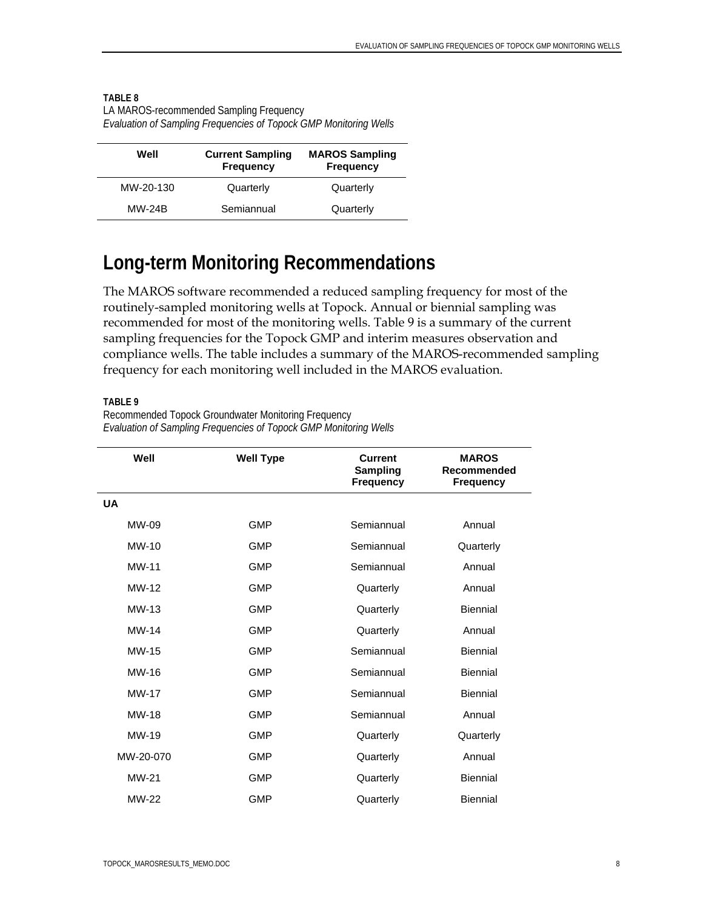| Well          | <b>Current Sampling</b><br><b>Frequency</b> | <b>MAROS Sampling</b><br><b>Frequency</b> |
|---------------|---------------------------------------------|-------------------------------------------|
| MW-20-130     | Quarterly                                   | Quarterly                                 |
| <b>MW-24B</b> | Semiannual                                  | Quarterly                                 |

#### **TABLE 8**  LA MAROS-recommended Sampling Frequency *Evaluation of Sampling Frequencies of Topock GMP Monitoring Wells*

## **Long-term Monitoring Recommendations**

The MAROS software recommended a reduced sampling frequency for most of the routinely-sampled monitoring wells at Topock. Annual or biennial sampling was recommended for most of the monitoring wells. Table 9 is a summary of the current sampling frequencies for the Topock GMP and interim measures observation and compliance wells. The table includes a summary of the MAROS-recommended sampling frequency for each monitoring well included in the MAROS evaluation.

#### **TABLE 9**

| Well         | <b>Well Type</b> | <b>Current</b><br><b>Sampling</b><br>Frequency | <b>MAROS</b><br>Recommended<br><b>Frequency</b> |
|--------------|------------------|------------------------------------------------|-------------------------------------------------|
| <b>UA</b>    |                  |                                                |                                                 |
| MW-09        | <b>GMP</b>       | Semiannual                                     | Annual                                          |
| $MW-10$      | <b>GMP</b>       | Semiannual                                     | Quarterly                                       |
| MW-11        | GMP              | Semiannual                                     | Annual                                          |
| MW-12        | <b>GMP</b>       | Quarterly                                      | Annual                                          |
| $MW-13$      | <b>GMP</b>       | Quarterly                                      | Biennial                                        |
| MW-14        | <b>GMP</b>       | Quarterly                                      | Annual                                          |
| MW-15        | <b>GMP</b>       | Semiannual                                     | Biennial                                        |
| MW-16        | GMP              | Semiannual                                     | <b>Biennial</b>                                 |
| <b>MW-17</b> | GMP              | Semiannual                                     | Biennial                                        |
| <b>MW-18</b> | <b>GMP</b>       | Semiannual                                     | Annual                                          |
| MW-19        | <b>GMP</b>       | Quarterly                                      | Quarterly                                       |
| MW-20-070    | GMP              | Quarterly                                      | Annual                                          |
| MW-21        | GMP              | Quarterly                                      | Biennial                                        |
| <b>MW-22</b> | <b>GMP</b>       | Quarterly                                      | <b>Biennial</b>                                 |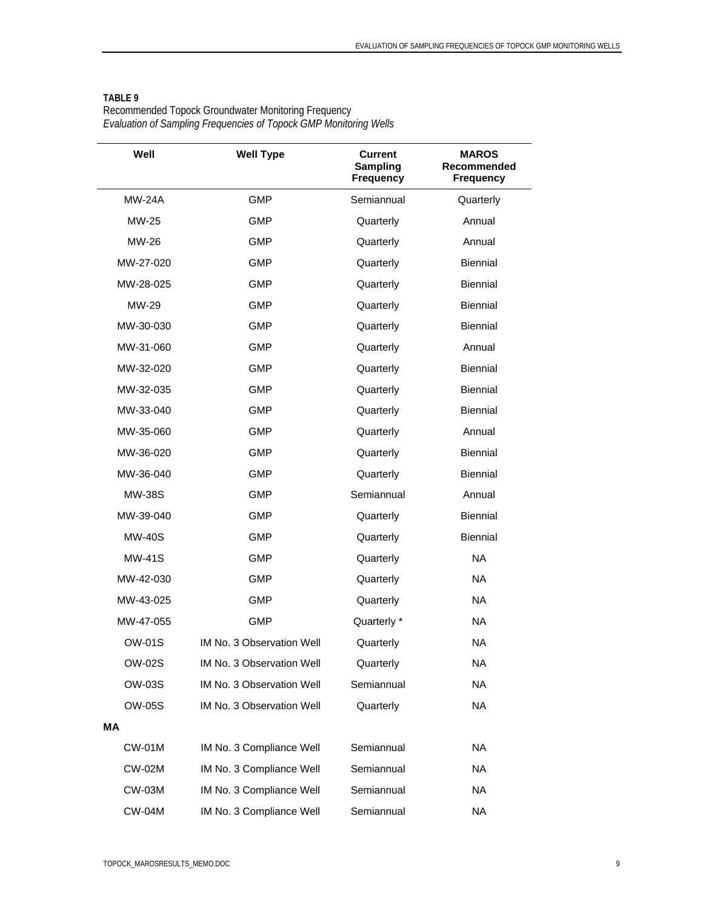| Well          | <b>Well Type</b>          | <b>Current</b><br><b>Sampling</b><br><b>Frequency</b> | <b>MAROS</b><br>Recommended<br><b>Frequency</b> |
|---------------|---------------------------|-------------------------------------------------------|-------------------------------------------------|
| <b>MW-24A</b> | <b>GMP</b>                | Semiannual                                            | Quarterly                                       |
| MW-25         | GMP                       | Quarterly                                             | Annual                                          |
| MW-26         | <b>GMP</b>                | Quarterly                                             | Annual                                          |
| MW-27-020     | GMP                       | Quarterly                                             | <b>Biennial</b>                                 |
| MW-28-025     | GMP                       | Quarterly                                             | <b>Biennial</b>                                 |
| MW-29         | GMP                       | Quarterly                                             | <b>Biennial</b>                                 |
| MW-30-030     | GMP                       | Quarterly                                             | <b>Biennial</b>                                 |
| MW-31-060     | <b>GMP</b>                | Quarterly                                             | Annual                                          |
| MW-32-020     | <b>GMP</b>                | Quarterly                                             | <b>Biennial</b>                                 |
| MW-32-035     | <b>GMP</b>                | Quarterly                                             | <b>Biennial</b>                                 |
| MW-33-040     | GMP                       | Quarterly                                             | Biennial                                        |
| MW-35-060     | <b>GMP</b>                | Quarterly                                             | Annual                                          |
| MW-36-020     | GMP                       | Quarterly                                             | <b>Biennial</b>                                 |
| MW-36-040     | <b>GMP</b>                | Quarterly                                             | <b>Biennial</b>                                 |
| <b>MW-38S</b> | GMP                       | Semiannual                                            | Annual                                          |
| MW-39-040     | <b>GMP</b>                | Quarterly                                             | Biennial                                        |
| <b>MW-40S</b> | GMP                       | Quarterly                                             | Biennial                                        |
| <b>MW-41S</b> | <b>GMP</b>                | Quarterly                                             | <b>NA</b>                                       |
| MW-42-030     | GMP                       | Quarterly                                             | NA.                                             |
| MW-43-025     | GMP                       | Quarterly                                             | NA.                                             |
| MW-47-055     | GMP                       | Quarterly *                                           | NA.                                             |
| <b>OW-01S</b> | IM No. 3 Observation Well | Quarterly                                             | <b>NA</b>                                       |
| <b>OW-02S</b> | IM No. 3 Observation Well | Quarterly                                             | <b>NA</b>                                       |
| <b>OW-03S</b> | IM No. 3 Observation Well | Semiannual                                            | NA                                              |
| <b>OW-05S</b> | IM No. 3 Observation Well | Quarterly                                             | NA                                              |
| MA            |                           |                                                       |                                                 |
| <b>CW-01M</b> | IM No. 3 Compliance Well  | Semiannual                                            | <b>NA</b>                                       |
| <b>CW-02M</b> | IM No. 3 Compliance Well  | Semiannual                                            | <b>NA</b>                                       |
| <b>CW-03M</b> | IM No. 3 Compliance Well  | Semiannual                                            | NA.                                             |
| <b>CW-04M</b> | IM No. 3 Compliance Well  | Semiannual                                            | NA                                              |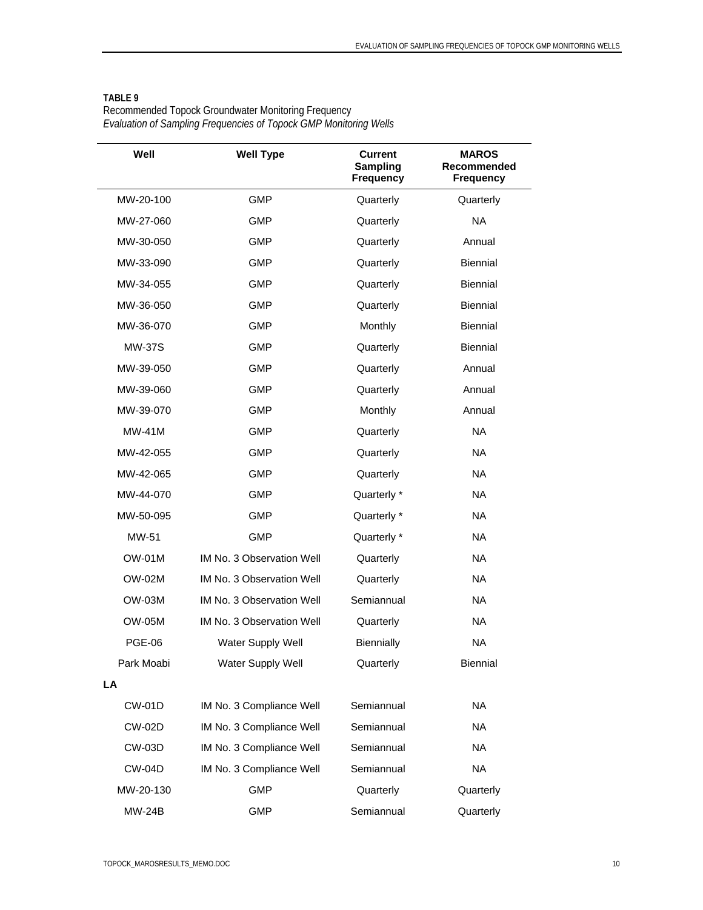| Well          | <b>Well Type</b>          | <b>Current</b><br><b>Sampling</b><br><b>Frequency</b> | <b>MAROS</b><br>Recommended<br><b>Frequency</b> |
|---------------|---------------------------|-------------------------------------------------------|-------------------------------------------------|
| MW-20-100     | <b>GMP</b>                | Quarterly                                             | Quarterly                                       |
| MW-27-060     | <b>GMP</b>                | Quarterly                                             | <b>NA</b>                                       |
| MW-30-050     | <b>GMP</b>                | Quarterly                                             | Annual                                          |
| MW-33-090     | <b>GMP</b>                | Quarterly                                             | <b>Biennial</b>                                 |
| MW-34-055     | <b>GMP</b>                | Quarterly                                             | <b>Biennial</b>                                 |
| MW-36-050     | <b>GMP</b>                | Quarterly                                             | Biennial                                        |
| MW-36-070     | <b>GMP</b>                | Monthly                                               | <b>Biennial</b>                                 |
| <b>MW-37S</b> | <b>GMP</b>                | Quarterly                                             | <b>Biennial</b>                                 |
| MW-39-050     | GMP                       | Quarterly                                             | Annual                                          |
| MW-39-060     | <b>GMP</b>                | Quarterly                                             | Annual                                          |
| MW-39-070     | <b>GMP</b>                | Monthly                                               | Annual                                          |
| $MW-41M$      | <b>GMP</b>                | Quarterly                                             | NA.                                             |
| MW-42-055     | <b>GMP</b>                | Quarterly                                             | NA.                                             |
| MW-42-065     | <b>GMP</b>                | Quarterly                                             | <b>NA</b>                                       |
| MW-44-070     | GMP                       | Quarterly *                                           | <b>NA</b>                                       |
| MW-50-095     | <b>GMP</b>                | Quarterly *                                           | NA.                                             |
| MW-51         | <b>GMP</b>                | Quarterly *                                           | NA.                                             |
| OW-01M        | IM No. 3 Observation Well | Quarterly                                             | <b>NA</b>                                       |
| OW-02M        | IM No. 3 Observation Well | Quarterly                                             | <b>NA</b>                                       |
| OW-03M        | IM No. 3 Observation Well | Semiannual                                            | <b>NA</b>                                       |
| <b>OW-05M</b> | IM No. 3 Observation Well | Quarterly                                             | NA.                                             |
| <b>PGE-06</b> | Water Supply Well         | <b>Biennially</b>                                     | <b>NA</b>                                       |
| Park Moabi    | Water Supply Well         | Quarterly                                             | Biennial                                        |
| LA            |                           |                                                       |                                                 |
| <b>CW-01D</b> | IM No. 3 Compliance Well  | Semiannual                                            | <b>NA</b>                                       |
| <b>CW-02D</b> | IM No. 3 Compliance Well  | Semiannual                                            | <b>NA</b>                                       |
| <b>CW-03D</b> | IM No. 3 Compliance Well  | Semiannual                                            | <b>NA</b>                                       |
| <b>CW-04D</b> | IM No. 3 Compliance Well  | Semiannual                                            | <b>NA</b>                                       |
| MW-20-130     | GMP                       | Quarterly                                             | Quarterly                                       |
| <b>MW-24B</b> | <b>GMP</b>                | Semiannual                                            | Quarterly                                       |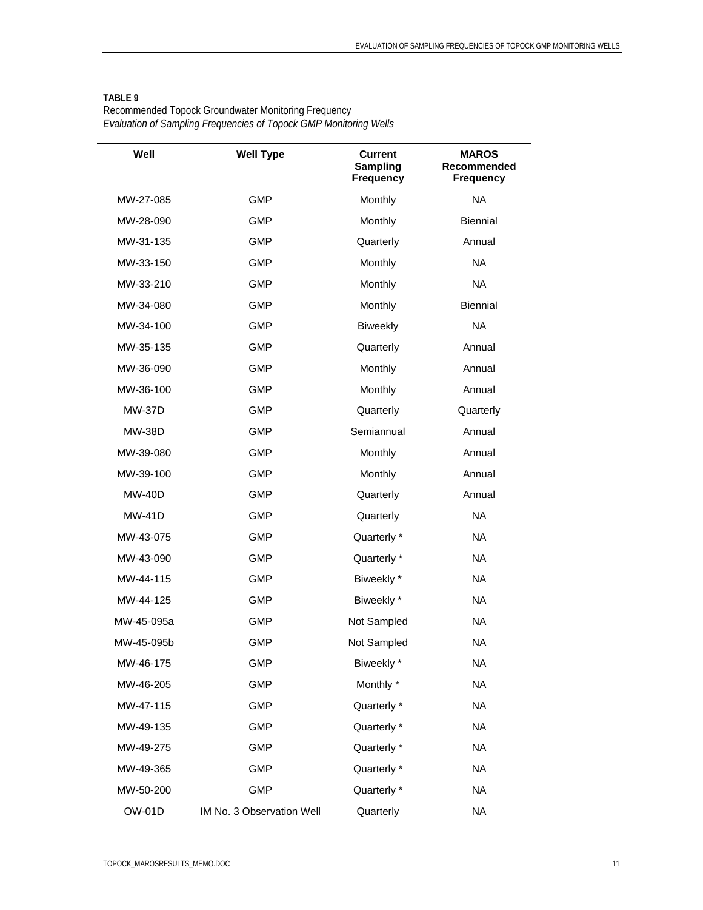| Well          | <b>Well Type</b>          | <b>Current</b><br><b>Sampling</b><br><b>Frequency</b> | <b>MAROS</b><br>Recommended<br><b>Frequency</b> |
|---------------|---------------------------|-------------------------------------------------------|-------------------------------------------------|
| MW-27-085     | <b>GMP</b>                | Monthly                                               | <b>NA</b>                                       |
| MW-28-090     | <b>GMP</b>                | Monthly                                               | Biennial                                        |
| MW-31-135     | GMP                       | Quarterly                                             | Annual                                          |
| MW-33-150     | <b>GMP</b>                | Monthly                                               | <b>NA</b>                                       |
| MW-33-210     | <b>GMP</b>                | Monthly                                               | <b>NA</b>                                       |
| MW-34-080     | <b>GMP</b>                | Monthly                                               | Biennial                                        |
| MW-34-100     | <b>GMP</b>                | <b>Biweekly</b>                                       | <b>NA</b>                                       |
| MW-35-135     | <b>GMP</b>                | Quarterly                                             | Annual                                          |
| MW-36-090     | <b>GMP</b>                | Monthly                                               | Annual                                          |
| MW-36-100     | <b>GMP</b>                | Monthly                                               | Annual                                          |
| <b>MW-37D</b> | <b>GMP</b>                | Quarterly                                             | Quarterly                                       |
| <b>MW-38D</b> | <b>GMP</b>                | Semiannual                                            | Annual                                          |
| MW-39-080     | <b>GMP</b>                | Monthly                                               | Annual                                          |
| MW-39-100     | <b>GMP</b>                | Monthly                                               | Annual                                          |
| <b>MW-40D</b> | <b>GMP</b>                | Quarterly                                             | Annual                                          |
| <b>MW-41D</b> | <b>GMP</b>                | Quarterly                                             | <b>NA</b>                                       |
| MW-43-075     | <b>GMP</b>                | Quarterly *                                           | <b>NA</b>                                       |
| MW-43-090     | <b>GMP</b>                | Quarterly *                                           | <b>NA</b>                                       |
| MW-44-115     | <b>GMP</b>                | Biweekly *                                            | <b>NA</b>                                       |
| MW-44-125     | <b>GMP</b>                | Biweekly *                                            | <b>NA</b>                                       |
| MW-45-095a    | <b>GMP</b>                | Not Sampled                                           | <b>NA</b>                                       |
| MW-45-095b    | <b>GMP</b>                | Not Sampled                                           | <b>NA</b>                                       |
| MW-46-175     | <b>GMP</b>                | Biweekly *                                            | <b>NA</b>                                       |
| MW-46-205     | <b>GMP</b>                | Monthly *                                             | <b>NA</b>                                       |
| MW-47-115     | <b>GMP</b>                | Quarterly *                                           | <b>NA</b>                                       |
| MW-49-135     | <b>GMP</b>                | Quarterly *                                           | <b>NA</b>                                       |
| MW-49-275     | <b>GMP</b>                | Quarterly *                                           | <b>NA</b>                                       |
| MW-49-365     | <b>GMP</b>                | Quarterly *                                           | <b>NA</b>                                       |
| MW-50-200     | <b>GMP</b>                | Quarterly *                                           | <b>NA</b>                                       |
| <b>OW-01D</b> | IM No. 3 Observation Well | Quarterly                                             | $\sf NA$                                        |